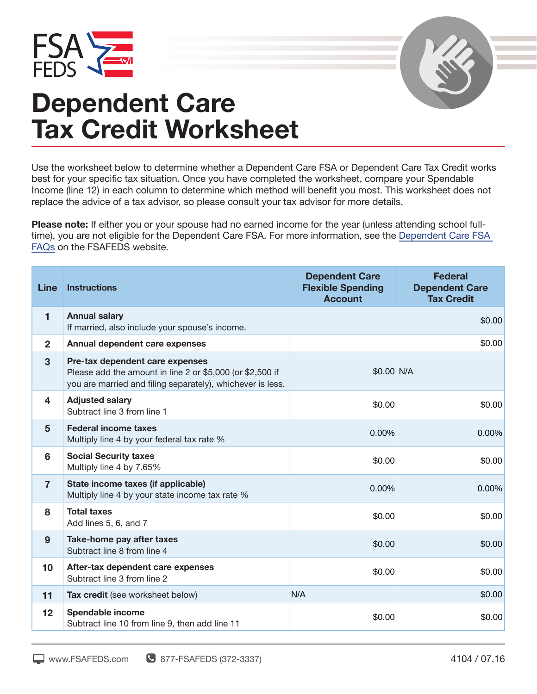



## **Dependent Care Tax Credit Worksheet**

Use the worksheet below to determine whether a Dependent Care FSA or Dependent Care Tax Credit works best for your specific tax situation. Once you have completed the worksheet, compare your Spendable Income (line 12) in each column to determine which method will benefit you most. This worksheet does not replace the advice of a tax advisor, so please consult your tax advisor for more details.

**Please note:** If either you or your spouse had no earned income for the year (unless attending school full‐ time), you are not eligible for the Dependent Care FSA. For more information, see the Dependent Care FSA FAQs on the FSAFEDS website.

| <b>Line</b>             | <b>Instructions</b>                                                                                                                                        | <b>Dependent Care</b><br><b>Flexible Spending</b><br><b>Account</b> | <b>Federal</b><br><b>Dependent Care</b><br><b>Tax Credit</b> |
|-------------------------|------------------------------------------------------------------------------------------------------------------------------------------------------------|---------------------------------------------------------------------|--------------------------------------------------------------|
| $\blacksquare$          | <b>Annual salary</b><br>If married, also include your spouse's income.                                                                                     |                                                                     | \$0.00                                                       |
| $\overline{2}$          | Annual dependent care expenses                                                                                                                             |                                                                     | \$0.00                                                       |
| 3                       | Pre-tax dependent care expenses<br>Please add the amount in line 2 or \$5,000 (or \$2,500 if<br>you are married and filing separately), whichever is less. | \$0.00 N/A                                                          |                                                              |
| $\overline{\mathbf{4}}$ | <b>Adjusted salary</b><br>Subtract line 3 from line 1                                                                                                      | \$0.00                                                              | \$0.00                                                       |
| $5\phantom{1}$          | <b>Federal income taxes</b><br>Multiply line 4 by your federal tax rate %                                                                                  | 0.00%                                                               | 0.00%                                                        |
| 6                       | <b>Social Security taxes</b><br>Multiply line 4 by 7.65%                                                                                                   | \$0.00                                                              | \$0.00                                                       |
| $\overline{7}$          | State income taxes (if applicable)<br>Multiply line 4 by your state income tax rate %                                                                      | 0.00%                                                               | 0.00%                                                        |
| 8                       | <b>Total taxes</b><br>Add lines 5, 6, and 7                                                                                                                | \$0.00                                                              | \$0.00                                                       |
| 9                       | Take-home pay after taxes<br>Subtract line 8 from line 4                                                                                                   | \$0.00                                                              | \$0.00                                                       |
| 10                      | After-tax dependent care expenses<br>Subtract line 3 from line 2                                                                                           | \$0.00                                                              | \$0.00                                                       |
| 11                      | Tax credit (see worksheet below)                                                                                                                           | N/A                                                                 | \$0.00                                                       |
| 12                      | Spendable income<br>Subtract line 10 from line 9, then add line 11                                                                                         | \$0.00                                                              | \$0.00                                                       |